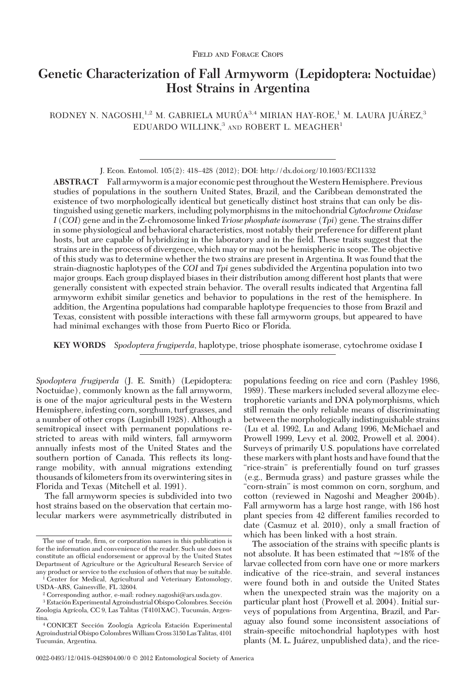# **Genetic Characterization of Fall Armyworm (Lepidoptera: Noctuidae) Host Strains in Argentina**

RODNEY N. NAGOSHI,<sup>1,2</sup> M. GABRIELA MURÚA<sup>3,4</sup> MIRIAN HAY-ROE,<sup>1</sup> M. LAURA JUÁREZ,<sup>3</sup> EDUARDO WILLINK,  $3$  and ROBERT L. MEAGHER<sup>1</sup>

J. Econ. Entomol. 105(2): 418Ð428 (2012); DOI: http://dx.doi.org/10.1603/EC11332

**ABSTRACT** Fall armywormis a major economic pest throughout theWestern Hemisphere. Previous studies of populations in the southern United States, Brazil, and the Caribbean demonstrated the existence of two morphologically identical but genetically distinct host strains that can only be distinguished using genetic markers, including polymorphisms in the mitochondrial *Cytochrome Oxidase I* (*COI*) gene and in the Z-chromosome linked *Triose phosphate isomerase* (*Tpi*) gene. The strains differ in some physiological and behavioral characteristics, most notably their preference for different plant hosts, but are capable of hybridizing in the laboratory and in the field. These traits suggest that the strains are in the process of divergence, which may or may not be hemispheric in scope. The objective of this study was to determine whether the two strains are present in Argentina. It was found that the strain-diagnostic haplotypes of the *COI* and *Tpi* genes subdivided the Argentina population into two major groups. Each group displayed biases in their distribution among different host plants that were generally consistent with expected strain behavior. The overall results indicated that Argentina fall armyworm exhibit similar genetics and behavior to populations in the rest of the hemisphere. In addition, the Argentina populations had comparable haplotype frequencies to those from Brazil and Texas, consistent with possible interactions with these fall armyworm groups, but appeared to have had minimal exchanges with those from Puerto Rico or Florida.

**KEY WORDS** *Spodoptera frugiperda*, haplotype, triose phosphate isomerase, cytochrome oxidase I

*Spodoptera frugiperda* (J. E. Smith) (Lepidoptera: Noctuidae), commonly known as the fall armyworm, is one of the major agricultural pests in the Western Hemisphere, infesting corn, sorghum, turf grasses, and a number of other crops (Luginbill 1928). Although a semitropical insect with permanent populations restricted to areas with mild winters, fall armyworm annually infests most of the United States and the southern portion of Canada. This reßects its longrange mobility, with annual migrations extending thousands of kilometers from its overwintering sites in Florida and Texas (Mitchell et al. 1991).

The fall armyworm species is subdivided into two host strains based on the observation that certain molecular markers were asymmetrically distributed in populations feeding on rice and corn (Pashley 1986, 1989). These markers included several allozyme electrophoretic variants and DNA polymorphisms, which still remain the only reliable means of discriminating between the morphologically indistinguishable strains (Lu et al. 1992, Lu and Adang 1996, McMichael and Prowell 1999, Levy et al. 2002, Prowell et al. 2004). Surveys of primarily U.S. populations have correlated these markers with plant hosts and have found that the "rice-strain" is preferentially found on turf grasses (e.g., Bermuda grass) and pasture grasses while the "corn-strain" is most common on corn, sorghum, and cotton (reviewed in Nagoshi and Meagher 2004b). Fall armyworm has a large host range, with 186 host plant species from 42 different families recorded to date (Casmuz et al. 2010), only a small fraction of which has been linked with a host strain.

The association of the strains with specific plants is not absolute. It has been estimated that  $\approx$  18% of the larvae collected from corn have one or more markers indicative of the rice-strain, and several instances were found both in and outside the United States when the unexpected strain was the majority on a particular plant host (Prowell et al. 2004). Initial surveys of populations from Argentina, Brazil, and Paraguay also found some inconsistent associations of strain-specific mitochondrial haplotypes with host plants (M. L. Juárez, unpublished data), and the rice-

The use of trade, firm, or corporation names in this publication is for the information and convenience of the reader. Such use does not constitute an official endorsement or approval by the United States Department of Agriculture or the Agricultural Research Service of any product or service to the exclusion of others that may be suitable.

<sup>1</sup> Center for Medical, Agricultural and Veterinary Entomology, USDA-ARS, Gainesville, FL 32604.

<sup>2</sup> Corresponding author, e-mail: rodney.nagoshi@ars.usda.gov.

<sup>&</sup>lt;sup>3</sup> Estación Experimental Agroindustrial Obispo Colombres. Sección Zoologia Agrícola, CC 9, Las Talitas (T4101XAC), Tucumán, Argentina.

<sup>&</sup>lt;sup>4</sup> CONICET Sección Zoología Agrícola Estación Experimental Agroindustrial Obispo ColombresWilliam Cross 3150 Las Talitas, 4101 Tucumán, Argentina.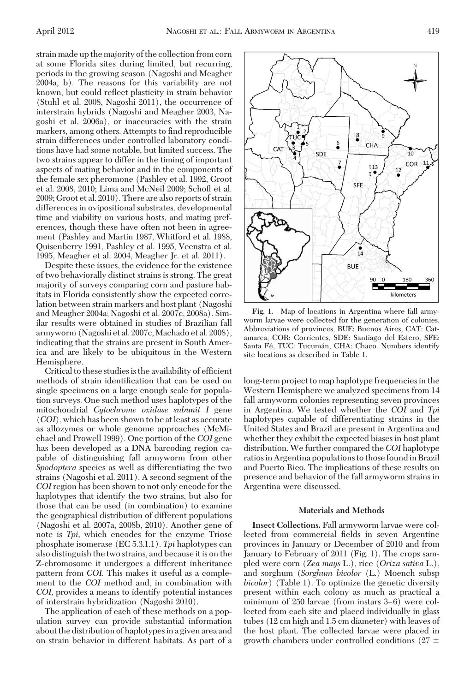strainmade up themajority of the collection from corn at some Florida sites during limited, but recurring, periods in the growing season (Nagoshi and Meagher 2004a, b). The reasons for this variability are not known, but could reßect plasticity in strain behavior (Stuhl et al. 2008, Nagoshi 2011), the occurrence of interstrain hybrids (Nagoshi and Meagher 2003, Nagoshi et al. 2006a), or inaccuracies with the strain markers, among others. Attempts to find reproducible strain differences under controlled laboratory conditions have had some notable, but limited success. The two strains appear to differ in the timing of important aspects of mating behavior and in the components of the female sex pheromone (Pashley et al. 1992, Groot et al. 2008, 2010; Lima and McNeil 2009; Schoß et al. 2009; Groot et al. 2010). There are also reports of strain differences in ovipositional substrates, developmental time and viability on various hosts, and mating preferences, though these have often not been in agreement (Pashley and Martin 1987, Whitford et al. 1988, Quisenberry 1991, Pashley et al. 1995, Veenstra et al. 1995, Meagher et al. 2004, Meagher Jr. et al. 2011).

Despite these issues, the evidence for the existence of two behaviorally distinct strains is strong. The great majority of surveys comparing corn and pasture habitats in Florida consistently show the expected correlation between strain markers and host plant (Nagoshi and Meagher 2004a; Nagoshi et al. 2007c, 2008a). Similar results were obtained in studies of Brazilian fall armyworm (Nagoshi et al. 2007c,Machado et al. 2008), indicating that the strains are present in South America and are likely to be ubiquitous in the Western Hemisphere.

Critical to these studies is the availability of efficient methods of strain identification that can be used on single specimens on a large enough scale for population surveys. One such method uses haplotypes of the mitochondrial *Cytochrome oxidase subunit I* gene (*COI*), which has been shown to be at least as accurate as allozymes or whole genome approaches (McMichael and Prowell 1999). One portion of the *COI* gene has been developed as a DNA barcoding region capable of distinguishing fall armyworm from other *Spodoptera* species as well as differentiating the two strains (Nagoshi et al. 2011). A second segment of the *COI* region has been shown to not only encode for the haplotypes that identify the two strains, but also for those that can be used (in combination) to examine the geographical distribution of different populations (Nagoshi et al. 2007a, 2008b, 2010). Another gene of note is *Tpi,* which encodes for the enzyme Triose phosphate isomerase (EC 5.3.1.1). *Tpi* haplotypes can also distinguish the two strains, and because it is on the Z-chromosome it undergoes a different inheritance pattern from *COI.* This makes it useful as a complement to the *COI* method and, in combination with *COI,* provides a means to identify potential instances of interstrain hybridization (Nagoshi 2010).

The application of each of these methods on a population survey can provide substantial information about the distribution of haplotypesin a given area and on strain behavior in different habitats. As part of a



**Fig. 1.** Map of locations in Argentina where fall armyworm larvae were collected for the generation of colonies. Abbreviations of provinces, BUE: Buenos Aires, CAT: Catamarca, COR: Corrientes, SDE: Santiago del Estero, SFE: Santa Fé, TUC: Tucumán, CHA: Chaco. Numbers identify site locations as described in Table 1.

long-term project to map haplotype frequencies in the Western Hemisphere we analyzed specimens from 14 fall armyworm colonies representing seven provinces in Argentina. We tested whether the *COI* and *Tpi* haplotypes capable of differentiating strains in the United States and Brazil are present in Argentina and whether they exhibit the expected biases in host plant distribution. We further compared the *COI* haplotype ratios in Argentina populations to those found in Brazil and Puerto Rico. The implications of these results on presence and behavior of the fall armyworm strains in Argentina were discussed.

### **Materials and Methods**

**Insect Collections.** Fall armyworm larvae were collected from commercial fields in seven Argentine provinces in January or December of 2010 and from January to February of 2011 (Fig. 1). The crops sampled were corn (*Zea mays* L.), rice (*Oriza sativa* L.), and sorghum (*Sorghum bicolor* (L.) Moench subsp *bicolor*) (Table 1). To optimize the genetic diversity present within each colony as much as practical a minimum of  $250$  larvae (from instars  $3-6$ ) were collected from each site and placed individually in glass tubes (12 cm high and 1.5 cm diameter) with leaves of the host plant. The collected larvae were placed in growth chambers under controlled conditions (27  $\pm$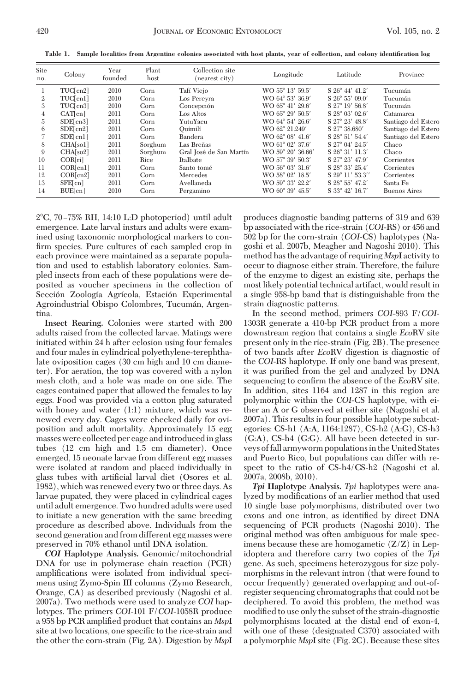| Site<br>no.    | Colony               | Year<br>founded | Plant<br>host | Collection site<br>(nearest city) | Longitude         | Latitude                 | Province            |
|----------------|----------------------|-----------------|---------------|-----------------------------------|-------------------|--------------------------|---------------------|
| 1              | $TUC$ [cn2]          | 2010            | Corn          | Tafí Viejo                        | WO 55° 13′ 59.5′  | S 26° 44' 41.2'          | Tucumán             |
| $\overline{2}$ | TUC[cn1]             | 2010            | Corn          | Los Perevra                       | WO 64° 53' 36.9'  | $S 26^{\circ} 55' 09.0'$ | Tucumán             |
| 3              | TUC <sub>[cn3]</sub> | 2010            | Corn          | Concepción                        | WO 65° 41' 29.6'  | S 27° 19′ 56.8′          | Tucumán             |
| 4              | CAT[cn]              | 2011            | Corn          | Los Altos                         | WO 65° 29′ 50.5′  | S 28° 03' 02.6'          | Catamarca           |
| 5              | SDE[cn3]             | 2011            | Corn          | YutuYacu                          | WO 64° 54' 26.6'  | S 27° 23′ 48.8′          | Santiago del Estero |
| 6              | SDE[cn2]             | 2011            | Corn          | Ouimilí                           | WO 62° 21.249'    | S 27° 38.680'            | Santiago del Estero |
|                | SDE[cn1]             | 2011            | Corn          | Bandera                           | WO 62° 08' 41.6'  | S 28° 51' 54.4'          | Santiago del Estero |
| 8              | CHA[so1]             | 2011            | Sorghum       | Las Breñas                        | WO 61° 02' 37.6'  | S 27° 04' 24.5'          | Chaco               |
| 9              | CHA[so2]             | 2011            | Sorghum       | Gral José de San Martín           | WO 59° 20′ 36.66′ | S 26° 31' 11.3'          | Chaco               |
| 10             | COR[ri]              | 2011            | Rice          | ItaIbate                          | WO 57° 39′ 50.3′  | S 27° 23' 47.9'          | Corrientes          |
| 11             | COR[cn1]             | 2011            | Corn          | Santo tomé                        | WO 56° 03' 31.6'  | S 28° 33' 25.4'          | Corrientes          |
| 12             | COR[cn2]             | 2011            | Corn          | Mercedes                          | WO 58° 02' 18.5'  | S 29° 11' 53.3"          | Corrientes          |
| 13             | SFE[cn]              | 2011            | Corn          | Avellaneda                        | WO 59° 33' 22.2'  | S 28° 55' 47.2'          | Santa Fe            |
| 14             | BUE[cn]              | 2010            | Corn          | Pergamino                         | WO 60° 39' 45.5'  | S 33° 42′ 16.7′          | <b>Buenos Aires</b> |

**Table 1. Sample localities from Argentine colonies associated with host plants, year of collection, and colony identification log**

 $2^{\circ}$ C, 70-75% RH, 14:10 L:D photoperiod) until adult emergence. Late larval instars and adults were examined using taxonomic morphological markers to confirm species. Pure cultures of each sampled crop in each province were maintained as a separate population and used to establish laboratory colonies. Sampled insects from each of these populations were deposited as voucher specimens in the collection of Sección Zoología Agrícola, Estación Experimental Agroindustrial Obispo Colombres, Tucumán, Argentina.

**Insect Rearing.** Colonies were started with 200 adults raised from the collected larvae. Matings were initiated within 24 h after eclosion using four females and four males in cylindrical polyethylene-terephthalate oviposition cages (30 cm high and 10 cm diameter). For aeration, the top was covered with a nylon mesh cloth, and a hole was made on one side. The cages contained paper that allowed the females to lay eggs. Food was provided via a cotton plug saturated with honey and water (1:1) mixture, which was renewed every day. Cages were checked daily for oviposition and adult mortality. Approximately 15 egg masses were collected per cage andintroducedin glass tubes (12 cm high and 1.5 cm diameter). Once emerged, 15 neonate larvae from different egg masses were isolated at random and placed individually in glass tubes with artificial larval diet (Osores et al. 1982), which was renewed every two or three days. As larvae pupated, they were placed in cylindrical cages until adult emergence. Two hundred adults were used to initiate a new generation with the same breeding procedure as described above. Individuals from the second generation and from different egg masses were preserved in 70% ethanol until DNA isolation.

*COI* **Haplotype Analysis.** Genomic/mitochondrial DNA for use in polymerase chain reaction (PCR) amplifications were isolated from individual specimens using Zymo-Spin III columns (Zymo Research, Orange, CA) as described previously (Nagoshi et al. 2007a). Two methods were used to analyze *COI* haplotypes. The primers *COI*-101 F/*COI*-1058R produce a 958 bp PCR amplified product that contains an *MspI* site at two locations, one specific to the rice-strain and the other the corn-strain (Fig. 2A). Digestion by *Msp*I

produces diagnostic banding patterns of 319 and 639 bp associated with the rice-strain (*COI*-RS) or 456 and 502 bp for the corn-strain (*COI*-CS) haplotypes (Nagoshi et al. 2007b, Meagher and Nagoshi 2010). This method has the advantage of requiring *Msp*I activity to occur to diagnose either strain. Therefore, the failure of the enzyme to digest an existing site, perhaps the most likely potential technical artifact, would result in a single 958-bp band that is distinguishable from the strain diagnostic patterns.

In the second method, primers *COI*-893 F/*COI*-1303R generate a 410-bp PCR product from a more downstream region that contains a single *Eco*RV site present only in the rice-strain (Fig. 2B). The presence of two bands after *Eco*RV digestion is diagnostic of the *COI*-RS haplotype. If only one band was present, it was purified from the gel and analyzed by DNA sequencing to confirm the absence of the *Eco*RV site. In addition, sites 1164 and 1287 in this region are polymorphic within the *COI*-CS haplotype, with either an A or G observed at either site (Nagoshi et al. 2007a). This results in four possible haplotype subcategories: CS-h1 (A:A, 1164:1287), CS-h2 (A:G), CS-h3 (G:A), CS-h4 (G:G). All have been detected in surveys of fall armyworm populations in the United States and Puerto Rico, but populations can differ with respect to the ratio of CS-h4/CS-h2 (Nagoshi et al. 2007a, 2008b, 2010).

*Tpi* **Haplotype Analysis.** *Tpi* haplotypes were analyzed by modifications of an earlier method that used 10 single base polymorphisms, distributed over two exons and one intron, as identified by direct DNA sequencing of PCR products (Nagoshi 2010). The original method was often ambiguous for male specimens because these are homogametic (Z/Z) in Lepidoptera and therefore carry two copies of the *Tpi* gene. As such, specimens heterozygous for size polymorphisms in the relevant intron (that were found to occur frequently) generated overlapping and out-ofregister sequencing chromatographs that could not be deciphered. To avoid this problem, the method was modified to use only the subset of the strain-diagnostic polymorphisms located at the distal end of exon-4, with one of these (designated C370) associated with a polymorphic *Msp*I site (Fig. 2C). Because these sites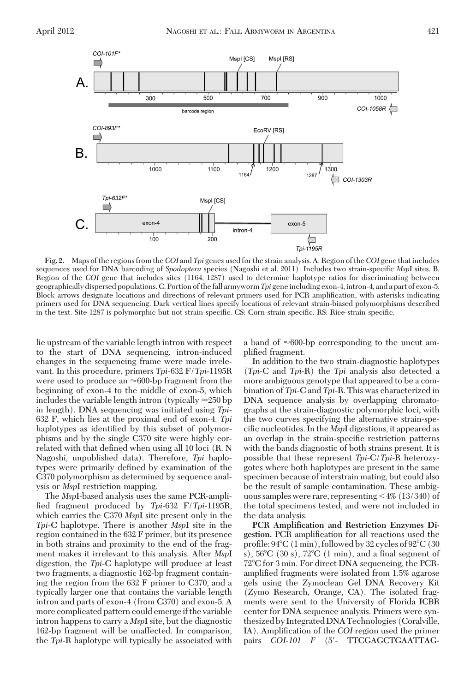

**Fig. 2.** Maps of the regions from the*COI* and *Tpi* genes used for the strain analysis. A. Region of the*COI* gene that includes sequences used for DNA barcoding of *Spodoptera* species (Nagoshi et al. 2011). Includes two strain-specific *MspI* sites. B. Region of the *COI* gene that includes sites (1164, 1287) used to determine haplotype ratios for discriminating between geographically dispersed populations. C. Portion of the fall armyworm *Tpi* geneincluding exon-4,intron-4, and a part of exon-5. Block arrows designate locations and directions of relevant primers used for PCR amplification, with asterisks indicating primers used for DNA sequencing. Dark vertical lines specify locations of relevant strain-biased polymorphisms described in the text. Site 1287 is polymorphic but not strain-specific. CS: Corn-strain specific. RS: Rice-strain specific.

lie upstream of the variable length intron with respect to the start of DNA sequencing, intron-induced changes in the sequencing frame were made irrelevant. In this procedure, primers *Tpi*-632 F/*Tpi*-1195R were used to produce an  $\approx$ 600-bp fragment from the beginning of exon-4 to the middle of exon-5, which includes the variable length intron (typically  $\approx$ 250 bp in length). DNA sequencing was initiated using *Tpi*-632 F, which lies at the proximal end of exon-4. *Tpi* haplotypes as identified by this subset of polymorphisms and by the single C370 site were highly correlated with that defined when using all 10 loci (R. N Nagoshi, unpublished data). Therefore, *Tpi* haplotypes were primarily defined by examination of the C370 polymorphism as determined by sequence analysis or *Msp*I restriction mapping.

The *Msp*I-based analysis uses the same PCR-amplified fragment produced by *Tpi*-632 F/*Tpi*-1195R, which carries the C370 *Msp*I site present only in the *Tpi*-C haplotype. There is another *Msp*I site in the region contained in the 632 F primer, but its presence in both strains and proximity to the end of the fragment makes it irrelevant to this analysis. After *Msp*I digestion, the *Tpi*-C haplotype will produce at least two fragments, a diagnostic 162-bp fragment containing the region from the 632 F primer to C370, and a typically larger one that contains the variable length intron and parts of exon-4 (from C370) and exon-5. A more complicated pattern could emerge if the variable intron happens to carry a *Msp*I site, but the diagnostic 162-bp fragment will be unaffected. In comparison, the *Tpi*-R haplotype will typically be associated with

a band of  $\approx 600$ -bp corresponding to the uncut amplified fragment.

In addition to the two strain-diagnostic haplotypes (*Tpi*-C and *Tpi*-R) the *Tpi* analysis also detected a more ambiguous genotype that appeared to be a combination of *Tpi*-C and *Tpi*-R. This was characterized in DNA sequence analysis by overlapping chromatographs at the strain-diagnostic polymorphic loci, with the two curves specifying the alternative strain-specific nucleotides. In the *MspI* digestions, it appeared as an overlap in the strain-specific restriction patterns with the bands diagnostic of both strains present. It is possible that these represent *Tpi*-C/*Tpi*-R heterozygotes where both haplotypes are present in the same specimen because of interstrain mating, but could also be the result of sample contamination. These ambiguous samples were rare, representing  $\leq 4\%$  (13/340) of the total specimens tested, and were not included in the data analysis.

**PCR Amplification and Restriction Enzymes Di**gestion. PCR amplification for all reactions used the profile:  $94^{\circ}C(1 \text{ min})$ , followed by 32 cycles of  $92^{\circ}C(30)$ s),  $56^{\circ}$ C (30 s),  $72^{\circ}$ C (1 min), and a final segment of 72C for 3 min. For direct DNA sequencing, the PCRamplified fragments were isolated from 1.5% agarose gels using the *Z*ymoclean Gel DNA Recovery Kit (*Z*ymo Research, Orange, CA). The isolated fragments were sent to the University of Florida ICBR center for DNA sequence analysis. Primers were synthesized by Integrated DNA Technologies (Coralville, IA). Amplification of the *COI* region used the primer pairs *COI-101* F (5'- TTCGAGCTGAATTAG-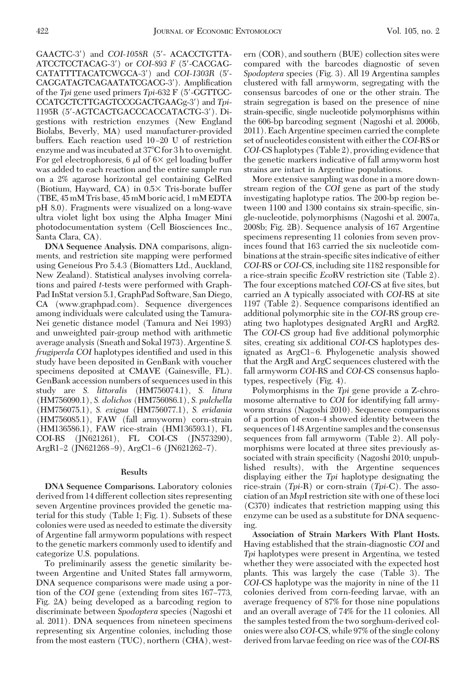GAACTC-3) and *COI-1058R* (5- ACACCTGTTA-ATCCTCCTACAG-3) or *COI-893 F* (5-CACGAG-CATATTTTACATCWGCA-3) and *COI-1303R* (5- CAGGATAGTCAGAATATCGACG-3'). Amplification of the *Tpi* gene used primers *Tpi*-632 F (5-GGTTGC-CCATGCTCTTGAGTCCGGACTGAAGg-3) and *Tpi*-1195R (5-AGTCACTGACCCACCATACTG-3). Digestions with restriction enzymes (New England Biolabs, Beverly, MA) used manufacturer-provided buffers. Each reaction used 10-20 U of restriction enzyme and was incubated at 37°C for 3 h to overnight. For gel electrophoresis, 6  $\mu$ l of 6× gel loading buffer was added to each reaction and the entire sample run on a 2% agarose horizontal gel containing GelRed (Biotium, Hayward, CA) in  $0.5 \times$  Tris-borate buffer (TBE, 45 mM Tris base, 45 mM boric acid, 1 mM EDTA pH 8.0). Fragments were visualized on a long-wave ultra violet light box using the Alpha Imager Mini photodocumentation system (Cell Biosciences Inc., Santa Clara, CA).

**DNA Sequence Analysis.** DNA comparisons, alignments, and restriction site mapping were performed using Geneious Pro 5.4.3 (Biomatters Ltd., Auckland, New *Z*ealand). Statistical analyses involving correlations and paired *t*-tests were performed with Graph-Pad InStat version 5.1, GraphPad Software, San Diego, CA (www.graphpad.com). Sequence divergences among individuals were calculated using the Tamura-Nei genetic distance model (Tamura and Nei 1993) and unweighted pair-group method with arithmetic average analysis (Sneath and Sokal 1973). Argentine *S. frugiperda COI* haplotypes identified and used in this study have been deposited in GenBank with voucher specimens deposited at CMAVE (Gainesville, FL). GenBank accession numbers of sequences used in this study are *S. littoralis* (HM756074.1), *S. litura* (HM756090.1), *S. dolichos* (HM756086.1), *S. pulchella* (HM756075.1), *S. exigua* (HM756077.1), *S. eridania* (HM756085.1), FAW (fall armyworm) corn-strain (HM136586.1), FAW rice-strain (HM136593.1), FL COI-RS (JN621261), FL COI-CS (JN573290), ArgR1-2 (JN621268-9), ArgC1-6 (JN621262-7).

#### **Results**

**DNA Sequence Comparisons.** Laboratory colonies derived from 14 different collection sites representing seven Argentine provinces provided the genetic material for this study (Table 1; Fig. 1). Subsets of these colonies were used as needed to estimate the diversity of Argentine fall armyworm populations with respect to the genetic markers commonly used to identify and categorize U.S. populations.

To preliminarily assess the genetic similarity between Argentine and United States fall armyworm, DNA sequence comparisons were made using a portion of the *COI* gene (extending from sites 167–773, Fig. 2A) being developed as a barcoding region to discriminate between *Spodoptera* species (Nagoshi et al. 2011). DNA sequences from nineteen specimens representing six Argentine colonies, including those from the most eastern (TUC), northern (CHA), west-

ern (COR), and southern (BUE) collection sites were compared with the barcodes diagnostic of seven *Spodoptera* species (Fig. 3). All 19 Argentina samples clustered with fall armyworm, segregating with the consensus barcodes of one or the other strain. The strain segregation is based on the presence of nine strain-specific, single nucleotide polymorphisms within the 606-bp barcoding segment (Nagoshi et al. 2006b, 2011). Each Argentine specimen carried the complete set of nucleotides consistent with either the*COI*-RS or *COI*-CS haplotypes (Table 2), providing evidence that the genetic markers indicative of fall armyworm host strains are intact in Argentine populations.

More extensive sampling was done in a more downstream region of the *COI* gene as part of the study investigating haplotype ratios. The 200-bp region between 1100 and 1300 contains six strain-specific, single-nucleotide, polymorphisms (Nagoshi et al. 2007a, 2008b; Fig. 2B). Sequence analysis of 167 Argentine specimens representing 11 colonies from seven provinces found that 163 carried the six nucleotide combinations at the strain-specific sites indicative of either *COI*-RS or *COI*-CS, including site 1182 responsible for a rice-strain specific *EcoRV* restriction site (Table 2). The four exceptions matched *COI-CS* at five sites, but carried an A typically associated with *COI*-RS at site 1197 (Table 2). Sequence comparisons identified an additional polymorphic site in the *COI*-RS group creating two haplotypes designated ArgR1 and ArgR2. The *COI-CS* group had five additional polymorphic sites, creating six additional *COI*-CS haplotypes designated as ArgC1–6. Phylogenetic analysis showed that the ArgR and ArgC sequences clustered with the fall armyworm *COI*-RS and *COI*-CS consensus haplotypes, respectively (Fig. 4).

Polymorphisms in the *Tpi* gene provide a Z-chromosome alternative to *COI* for identifying fall armyworm strains (Nagoshi 2010). Sequence comparisons of a portion of exon-4 showed identity between the sequences of 148 Argentine samples and the consensus sequences from fall armyworm (Table 2). All polymorphisms were located at three sites previously associated with strain specificity (Nagoshi 2010; unpublished results), with the Argentine sequences displaying either the *Tpi* haplotype designating the rice-strain (*Tpi*-R) or corn-strain (*Tpi*-C). The association of an *Msp*I restriction site with one of these loci (C370) indicates that restriction mapping using this enzyme can be used as a substitute for DNA sequencing.

**Association of Strain Markers With Plant Hosts.** Having established that the strain-diagnostic *COI* and *Tpi* haplotypes were present in Argentina, we tested whether they were associated with the expected host plants. This was largely the case (Table 3). The *COI*-CS haplotype was the majority in nine of the 11 colonies derived from corn-feeding larvae, with an average frequency of 87% for those nine populations and an overall average of 74% for the 11 colonies. All the samples tested from the two sorghum-derived colonies were also*COI*-CS, while 97% of the single colony derived from larvae feeding on rice was of the *COI*-RS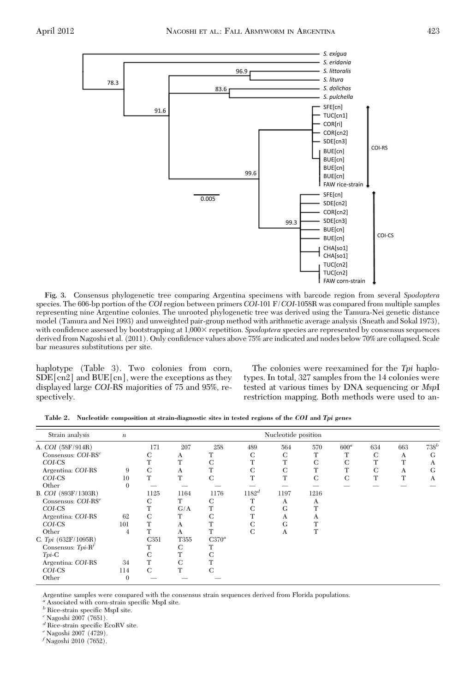

**Fig. 3.** Consensus phylogenetic tree comparing Argentina specimens with barcode region from several *Spodoptera* species. The 606-bp portion of the *COI* region between primers *COI*-101 F/*COI*-1058R was compared from multiple samples representing nine Argentine colonies. The unrooted phylogenetic tree was derived using the Tamura-Nei genetic distance model (Tamura and Nei 1993) and unweighted pair-group method with arithmetic average analysis (Sneath and Sokal 1973), with confidence assessed by bootstrapping at 1,000 $\times$  repetition. *Spodoptera* species are represented by consensus sequences derived from Nagoshi et al. (2011). Only confidence values above 75% are indicated and nodes below 70% are collapsed. Scale bar measures substitutions per site.

haplotype (Table 3). Two colonies from corn,  $SDE[cn2]$  and  $BUE[cn]$ , were the exceptions as they displayed large *COI*-RS majorities of 75 and 95%, respectively.

The colonies were reexamined for the *Tpi* haplotypes. In total, 327 samples from the 14 colonies were tested at various times by DNA sequencing or *Msp*I restriction mapping. Both methods were used to an-

**Table 2. Nucleotide composition at strain-diagnostic sites in tested regions of the** *COI* **and** *Tpi* **genes**

| Strain analysis      | $\boldsymbol{n}$ | Nucleotide position |      |          |          |                  |              |         |     |         |         |
|----------------------|------------------|---------------------|------|----------|----------|------------------|--------------|---------|-----|---------|---------|
| A. COI (58F/914R)    |                  | 171                 | 207  | 258      | 489      | 564              | 570          | $600^a$ | 634 | 663     | $738^b$ |
| Consensus: $COI-RSc$ |                  | С                   | A    |          | C        | С                | T            | T       | C   | A       | G       |
| COI-CS               |                  | T                   | T    | C        | T        | T                | С            | С       | T   | T       | A       |
| Argentina: COI-RS    | 9                | С                   | A    | T        | С        | С                | T            | T       | C   | A       | G       |
| COI-CS               | 10               | T                   | T    | C        | Ŧ.       | <b>CON</b><br>Τ. | C            | C       | T   | m<br>Τ. | A       |
| Other                |                  |                     |      |          |          |                  |              |         |     |         |         |
| B. COI (893F/1303R)  |                  | 1125                | 1164 | 1176     | $1182^d$ | 1197             | 1216         |         |     |         |         |
| Consensus: $COI-RSe$ |                  | С                   | T    | C        | л.       | A                | A            |         |     |         |         |
| COI-CS               |                  | T                   | G/A  | T        | С        | G                | $\mathbf{T}$ |         |     |         |         |
| Argentina: COI-RS    | 62               | C                   | T    | C        | л.       | A                | A            |         |     |         |         |
| COI-CS               | 101              | T                   | A    | T        | С        | G                | m            |         |     |         |         |
| Other                | 4                | T                   | A    | T        | C        | A                | T            |         |     |         |         |
| C. Tpi (632F/1095R)  |                  | C351                | T355 | $C370^a$ |          |                  |              |         |     |         |         |
| Consensus: $Tpi-R'$  |                  |                     | C    | T        |          |                  |              |         |     |         |         |
| $Tpi$ -C             |                  | С                   | T    | С        |          |                  |              |         |     |         |         |
| Argentina: COI-RS    | 34               | T                   | С    | T        |          |                  |              |         |     |         |         |
| COI-CS               | 114              | C                   | m    | C        |          |                  |              |         |     |         |         |
| Other                |                  |                     |      |          |          |                  |              |         |     |         |         |

Argentine samples were compared with the consensus strain sequences derived from Florida populations.

Associated with corn-strain specific MspI site.

 $^b$  Rice-strain specific MspI site.

*<sup>c</sup>* Nagoshi 2007 (7651).

<sup>*d*</sup> Rice-strain specific EcoRV site.

*<sup>e</sup>* Nagoshi 2007 (4729).

*<sup>f</sup>* Nagoshi 2010 (7652).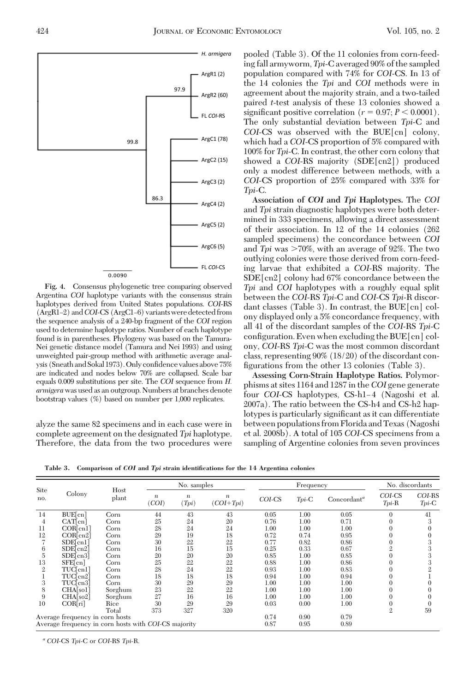

**Fig. 4.** Consensus phylogenetic tree comparing observed Argentina *COI* haplotype variants with the consensus strain haplotypes derived from United States populations. *COI*-RS (ArgR1-2) and *COI-CS* (ArgC1-6) variants were detected from the sequence analysis of a 240-bp fragment of the *COI* region used to determine haplotype ratios. Number of each haplotype found is in parentheses. Phylogeny was based on the Tamura-Nei genetic distance model (Tamura and Nei 1993) and using unweighted pair-group method with arithmetic average analysis (Sneath and Sokal 1973). Only confidence values above 75% are indicated and nodes below 70% are collapsed. Scale bar equals 0.009 substitutions per site. The *COI* sequence from *H. armigera*was used as an outgroup. Numbers at branches denote bootstrap values (%) based on number per 1,000 replicates.

alyze the same 82 specimens and in each case were in complete agreement on the designated *Tpi* haplotype. Therefore, the data from the two procedures were pooled (Table 3). Of the 11 colonies from corn-feeding fall armyworm, *Tpi*-C averaged 90% of the sampled population compared with 74% for *COI*-CS. In 13 of the 14 colonies the *Tpi* and *COI* methods were in agreement about the majority strain, and a two-tailed paired *t*-test analysis of these 13 colonies showed a significant positive correlation ( $r = 0.97; P \le 0.0001$ ). The only substantial deviation between *Tpi*-C and *COI*-CS was observed with the BUE[cn] colony, which had a *COI*-CS proportion of 5% compared with 100% for *Tpi*-C. In contrast, the other corn colony that showed a *COI-RS* majority (SDE[cn2]) produced only a modest difference between methods, with a *COI*-CS proportion of 25% compared with 33% for *Tpi*-C.

**Association of** *COI* **and** *Tpi* **Haplotypes.** The *COI* and *Tpi* strain diagnostic haplotypes were both determined in 333 specimens, allowing a direct assessment of their association. In 12 of the 14 colonies (262 sampled specimens) the concordance between *COI* and *Tpi* was 70%, with an average of 92%. The two outlying colonies were those derived from corn-feeding larvae that exhibited a *COI*-RS majority. The SDE[cn2] colony had 67% concordance between the *Tpi* and *COI* haplotypes with a roughly equal split between the *COI*-RS *Tpi*-C and *COI*-CS *Tpi*-R discordant classes (Table 3). In contrast, the BUE[cn] colony displayed only a 5% concordance frequency, with all 41 of the discordant samples of the *COI*-RS *Tpi*-C configuration. Even when excluding the  $BUE[cn]$  colony, *COI*-RS *Tpi*-C was the most common discordant class, representing 90% (18/20) of the discordant configurations from the other 13 colonies (Table 3).

**Assessing Corn-Strain Haplotype Ratios.** Polymorphisms at sites 1164 and 1287 in the *COI* gene generate four *COI-CS* haplotypes, CS-h1-4 (Nagoshi et al. 2007a). The ratio between the CS-h4 and CS-h2 haplotypes is particularly significant as it can differentiate between populations from Florida and Texas (Nagoshi et al. 2008b). A total of 105 *COI*-CS specimens from a sampling of Argentine colonies from seven provinces

**Table 3. Comparison of** *COI* **and** *Tpi* **strain identifications for the 14 Argentina colonies**

| Site<br>no.                     | Colony                                               | Host<br>plant | No. samples               |                           |                                 | Frequency |          |                         | No. discordants   |                    |
|---------------------------------|------------------------------------------------------|---------------|---------------------------|---------------------------|---------------------------------|-----------|----------|-------------------------|-------------------|--------------------|
|                                 |                                                      |               | $\boldsymbol{n}$<br>(COI) | $\boldsymbol{n}$<br>(Tpi) | $\boldsymbol{n}$<br>$(COI+Tpi)$ | COI-CS    | $Tpi$ -C | Concordant <sup>a</sup> | COI-CS<br>$Tpi-R$ | COI-RS<br>$Tpi$ -C |
| 14                              | BUE[cn]                                              | Corn          | 44                        | 43                        | 43                              | 0.05      | 1.00     | 0.05                    |                   | 41                 |
| 4                               | CAT[cn]                                              | Corn          | 25                        | 24                        | 20                              | 0.76      | 1.00     | 0.71                    |                   | 3                  |
| 11                              | COR[cn1]                                             | Corn          | 28                        | 24                        | 24                              | 1.00      | 1.00     | 1.00                    |                   |                    |
| 12                              | COR[cn2]                                             | Corn          | 29                        | 19                        | 18                              | 0.72      | 0.74     | 0.95                    |                   |                    |
|                                 | SDE[cn1]                                             | Corn          | 30                        | 22                        | 22                              | 0.77      | 0.82     | 0.86                    |                   | 3                  |
| 6                               | SDE[cn2]                                             | Corn          | 16                        | 15                        | 15                              | 0.25      | 0.33     | 0.67                    |                   | ۰,                 |
| $\overline{5}$                  | SDE[cn3]                                             | Corn          | 20                        | 20                        | 20                              | 0.85      | 1.00     | 0.85                    |                   | $\cdot$            |
| 13                              | SFE[cn]                                              | Corn          | 25                        | 22                        | 22                              | 0.88      | 1.00     | 0.86                    |                   | 3                  |
| $\overline{2}$                  | TUC[cn1]                                             | Corn          | 28                        | 24                        | 22                              | 0.93      | 1.00     | 0.83                    |                   |                    |
|                                 | $\mathrm{TUC}\mathrm{[cm2]}$                         | Corn          | 18                        | 18                        | 18                              | 0.94      | 1.00     | 0.94                    |                   |                    |
| 3                               | TUC[cn3]                                             | Corn          | 30                        | 29                        | 29                              | 1.00      | 1.00     | 1.00                    |                   |                    |
| 8                               | CHA[so1]                                             | Sorghum       | 23                        | 22                        | 22                              | 1.00      | 1.00     | 1.00                    |                   |                    |
| 9                               | CHA[so2]                                             | Sorghum       | 27                        | 16                        | 16                              | 1.00      | 1.00     | 1.00                    |                   |                    |
| 10                              | COR[ri]                                              | Rice          | 30                        | 29                        | 29                              | 0.03      | 0.00     | 1.00                    |                   |                    |
|                                 |                                                      | Total         | 373                       | 327                       | 320                             |           |          |                         | $\mathfrak{2}$    | 59                 |
| Average frequency in corn hosts |                                                      |               |                           |                           |                                 | 0.74      | 0.90     | 0.79                    |                   |                    |
|                                 | Average frequency in corn hosts with COI-CS majority |               |                           |                           |                                 | 0.87      | 0.95     | 0.89                    |                   |                    |

*<sup>a</sup> COI*-CS *Tpi*-C or *COI*-RS *Tpi*-R.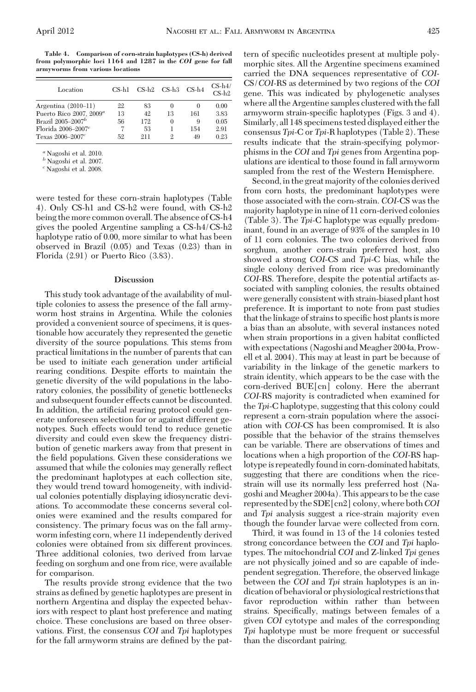**Table 4. Comparison of corn-strain haplotypes (CS-h) derived from polymorphic loci 1164 and 1287 in the** *COI* **gene for fall armyworms from various locations**

| Location                            | $CS-h1$ |     | $CS-h2$ $CS-h3$ $CS-h4$ |          | $CS-h4/$<br>$CS-h2$ |
|-------------------------------------|---------|-----|-------------------------|----------|---------------------|
| Argentina $(2010-11)$               | 22      | 83  | $\Omega$                | $\Omega$ | 0.00                |
| Puerto Rico 2007, 2009 <sup>a</sup> | 13      | 42  | 13                      | 161      | 3.83                |
| Brazil $2005-2007^b$                | 56      | 172 | $\theta$                | 9        | 0.05                |
| Florida $2006-2007c$                |         | 53  |                         | 154      | 2.91                |
| Texas $2006 - 2007$ <sup>c</sup>    | 52      | 211 | 9.                      | 49       | 0.23                |
|                                     |         |     |                         |          |                     |

*<sup>a</sup>* Nagoshi et al. 2010.

*<sup>b</sup>* Nagoshi et al. 2007.

*<sup>c</sup>* Nagoshi et al. 2008.

were tested for these corn-strain haplotypes (Table 4). Only CS-h1 and CS-h2 were found, with CS-h2 being themore common overall. The absence of CS-h4 gives the pooled Argentine sampling a CS-h4/CS-h2 haplotype ratio of 0.00, more similar to what has been observed in Brazil (0.05) and Texas (0.23) than in Florida (2.91) or Puerto Rico (3.83).

### **Discussion**

This study took advantage of the availability of multiple colonies to assess the presence of the fall armyworm host strains in Argentina. While the colonies provided a convenient source of specimens, it is questionable how accurately they represented the genetic diversity of the source populations. This stems from practical limitations in the number of parents that can be used to initiate each generation under artificial rearing conditions. Despite efforts to maintain the genetic diversity of the wild populations in the laboratory colonies, the possibility of genetic bottlenecks and subsequent founder effects cannot be discounted. In addition, the artificial rearing protocol could generate unforeseen selection for or against different genotypes. Such effects would tend to reduce genetic diversity and could even skew the frequency distribution of genetic markers away from that present in the field populations. Given these considerations we assumed that while the colonies may generally reßect the predominant haplotypes at each collection site, they would trend toward homogeneity, with individual colonies potentially displaying idiosyncratic deviations. To accommodate these concerns several colonies were examined and the results compared for consistency. The primary focus was on the fall armyworm infesting corn, where 11 independently derived colonies were obtained from six different provinces. Three additional colonies, two derived from larvae feeding on sorghum and one from rice, were available for comparison.

The results provide strong evidence that the two strains as defined by genetic haplotypes are present in northern Argentina and display the expected behaviors with respect to plant host preference and mating choice. These conclusions are based on three observations. First, the consensus *COI* and *Tpi* haplotypes for the fall armyworm strains are defined by the pat-

tern of specific nucleotides present at multiple polymorphic sites. All the Argentine specimens examined carried the DNA sequences representative of *COI*-CS/*COI*-RS as determined by two regions of the *COI* gene. This was indicated by phylogenetic analyses where all the Argentine samples clustered with the fall armyworm strain-specific haplotypes (Figs. 3 and 4). Similarly, all 148 specimens tested displayed either the consensus *Tpi*-C or *Tpi*-R haplotypes (Table 2). These results indicate that the strain-specifying polymorphisms in the *COI* and *Tpi* genes from Argentina populations are identical to those found in fall armyworm sampled from the rest of the Western Hemisphere.

Second, in the great majority of the colonies derived from corn hosts, the predominant haplotypes were those associated with the corn-strain. *COI*-CS was the majority haplotype in nine of 11 corn-derived colonies (Table 3). The *Tpi*-C haplotype was equally predominant, found in an average of 93% of the samples in 10 of 11 corn colonies. The two colonies derived from sorghum, another corn-strain preferred host, also showed a strong *COI*-CS and *Tpi*-C bias, while the single colony derived from rice was predominantly *COI*-RS. Therefore, despite the potential artifacts associated with sampling colonies, the results obtained were generally consistent with strain-biased plant host preference. It is important to note from past studies that the linkage of strains to specific host plants is more a bias than an absolute, with several instances noted when strain proportions in a given habitat conflicted with expectations (Nagoshi and Meagher 2004a, Prowell et al. 2004). This may at least in part be because of variability in the linkage of the genetic markers to strain identity, which appears to be the case with the corn-derived BUE[cn] colony. Here the aberrant *COI*-RS majority is contradicted when examined for the *Tpi*-C haplotype, suggesting that this colony could represent a corn-strain population where the association with *COI*-CS has been compromised. It is also possible that the behavior of the strains themselves can be variable. There are observations of times and locations when a high proportion of the *COI*-RS haplotype is repeatedly found in corn-dominated habitats, suggesting that there are conditions when the ricestrain will use its normally less preferred host (Nagoshi and Meagher 2004a). This appears to be the case represented by the SDE[cn2] colony, where both*COI* and *Tpi* analysis suggest a rice-strain majority even though the founder larvae were collected from corn.

Third, it was found in 13 of the 14 colonies tested strong concordance between the *COI* and *Tpi* haplotypes. The mitochondrial *COI* and Z-linked *Tpi* genes are not physically joined and so are capable of independent segregation. Therefore, the observed linkage between the *COI* and *Tpi* strain haplotypes is an indication of behavioral or physiological restrictions that favor reproduction within rather than between strains. Specifically, matings between females of a given *COI* cytotype and males of the corresponding *Tpi* haplotype must be more frequent or successful than the discordant pairing.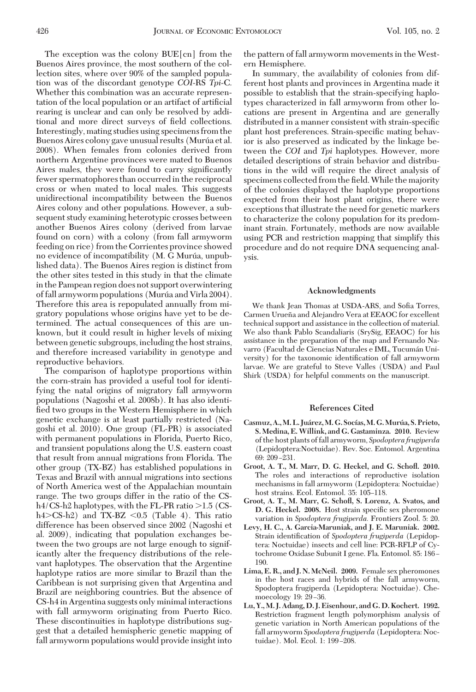The exception was the colony BUE[cn] from the Buenos Aires province, the most southern of the collection sites, where over 90% of the sampled population was of the discordant genotype *COI*-RS *Tpi*-C. Whether this combination was an accurate representation of the local population or an artifact of artificial rearing is unclear and can only be resolved by additional and more direct surveys of field collections. Interestingly, mating studies using specimens from the Buenos Aires colony gave unusual results (Murúa et al. 2008). When females from colonies derived from northern Argentine provinces were mated to Buenos Aires males, they were found to carry significantly fewer spermatophores than occurred in the reciprocal cross or when mated to local males. This suggests unidirectional incompatibility between the Buenos Aires colony and other populations. However, a subsequent study examining heterotypic crosses between another Buenos Aires colony (derived from larvae found on corn) with a colony (from fall armyworm feeding on rice) from the Corrientes province showed no evidence of incompatibility (M. G Murúa, unpublished data). The Buenos Aires region is distinct from the other sites tested in this study in that the climate in the Pampean region does not support overwintering of fall armyworm populations (Murúa and Virla 2004). Therefore this area is repopulated annually from migratory populations whose origins have yet to be determined. The actual consequences of this are unknown, but it could result in higher levels of mixing between genetic subgroups, including the host strains, and therefore increased variability in genotype and reproductive behaviors.

The comparison of haplotype proportions within the corn-strain has provided a useful tool for identifying the natal origins of migratory fall armyworm populations (Nagoshi et al. 2008b). It has also identified two groups in the Western Hemisphere in which genetic exchange is at least partially restricted (Nagoshi et al. 2010). One group (FL-PR) is associated with permanent populations in Florida, Puerto Rico, and transient populations along the U.S. eastern coast that result from annual migrations from Florida. The other group (TX-BZ) has established populations in Texas and Brazil with annual migrations into sections of North America west of the Appalachian mountain range. The two groups differ in the ratio of the CSh4/CS-h2 haplotypes, with the FL-PR ratio >1.5 (CSh4 $\geq$ CS-h2) and TX-BZ  $\leq$ 0.5 (Table 4). This ratio difference has been observed since 2002 (Nagoshi et al. 2009), indicating that population exchanges between the two groups are not large enough to significantly alter the frequency distributions of the relevant haplotypes. The observation that the Argentine haplotype ratios are more similar to Brazil than the Caribbean is not surprising given that Argentina and Brazil are neighboring countries. But the absence of CS-h4 in Argentina suggests only minimal interactions with fall armyworm originating from Puerto Rico. These discontinuities in haplotype distributions suggest that a detailed hemispheric genetic mapping of fall armyworm populations would provide insight into

the pattern of fall armyworm movements in the Western Hemisphere.

In summary, the availability of colonies from different host plants and provinces in Argentina made it possible to establish that the strain-specifying haplotypes characterized in fall armyworm from other locations are present in Argentina and are generally distributed in a manner consistent with strain-specific plant host preferences. Strain-specific mating behavior is also preserved as indicated by the linkage between the *COI* and *Tpi* haplotypes. However, more detailed descriptions of strain behavior and distributions in the wild will require the direct analysis of specimens collected from the field. While the majority of the colonies displayed the haplotype proportions expected from their host plant origins, there were exceptions that illustrate the need for genetic markers to characterize the colony population for its predominant strain. Fortunately, methods are now available using PCR and restriction mapping that simplify this procedure and do not require DNA sequencing analysis.

# **Acknowledgments**

We thank Jean Thomas at USDA-ARS, and Sofia Torres, Carmen Urueña and Alejandro Vera at EEAOC for excellent technical support and assistance in the collection of material. We also thank Pablo Scandaliaris (SrySig, EEAOC) for his assistance in the preparation of the map and Fernando Navarro (Facultad de Ciencias Naturales e IML, Tucumán University) for the taxonomic identification of fall armyworm larvae. We are grateful to Steve Valles (USDA) and Paul Shirk (USDA) for helpful comments on the manuscript.

# **References Cited**

- **Casmuz,A.,M. L. Jua´rez,M. G. Socı´as,M. G.Muru´ a, S. Prieto, S. Medina, E. Willink, and G. Gastaminza. 2010.** Review of the host plants of fall armyworm, *Spodoptera frugiperda* (Lepidoptera:Noctuidae). Rev. Soc. Entomol. Argentina  $69: 209 - 231.$
- **Groot, A. T., M. Marr, D. G. Heckel, and G. Schofl. 2010.** The roles and interactions of reproductive isolation mechanisms in fall armyworm (Lepidoptera: Noctuidae) host strains. Ecol. Entomol. 35: 105–118.
- **Groot, A. T., M. Marr, G. Schofl, S. Lorenz, A. Svatos, and D. G. Heckel. 2008.** Host strain specific sex pheromone variation in *Spodoptera frugiperda.* Frontiers Zool. 5: 20.
- **Levy, H. C., A. Garcia-Maruniak, and J. E. Maruniak. 2002.** Strain identification of *Spodoptera frugiperda* (Lepidoptera: Noctuidae) insects and cell line: PCR-RFLP of Cytochrome Oxidase Subunit I gene. Fla. Entomol. 85: 186-190.
- **Lima, E. R., and J. N. McNeil. 2009.** Female sex pheromones in the host races and hybrids of the fall armyworm, Spodoptera frugiperda (Lepidoptera: Noctuidae). Chemoecology 19: 29-36.
- **Lu, Y., M. J. Adang, D. J. Eisenhour, and G. D. Kochert. 1992.** Restriction fragment length polymorphism analysis of genetic variation in North American populations of the fall armyworm *Spodoptera frugiperda* (Lepidoptera: Noctuidae). Mol. Ecol. 1: 199-208.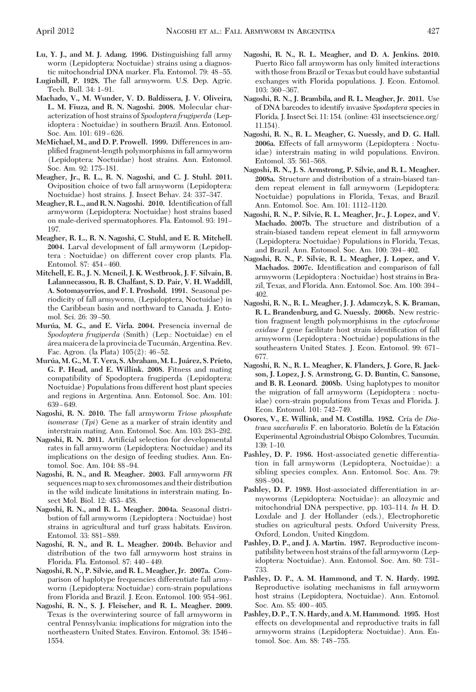- **Lu, Y. J., and M. J. Adang. 1996.** Distinguishing fall army worm (Lepidoptera: Noctuidae) strains using a diagnostic mitochondrial DNA marker. Fla. Entomol. 79: 48-55.
- **Luginbill, P. 1928.** The fall armyworm. U.S. Dep. Agric. Tech. Bull. 34: 1-91.
- **Machado, V., M. Wunder, V. D. Baldissera, J. V. Oliveira, L. M. Fiuza, and R. N. Nagoshi. 2008.** Molecular characterization of host strains of *Spodoptera frugiperda* (Lepidoptera : Noctuidae) in southern Brazil. Ann. Entomol. Soc. Am. 101: 619-626.
- **McMichael, M., and D. P. Prowell. 1999.** Differences in amplified fragment-length polymorphisms in fall armyworm (Lepidoptera: Noctuidae) host strains. Ann. Entomol. Soc. Am. 92: 175-181.
- **Meagher, Jr., R. L., R. N. Nagoshi, and C. J. Stuhl. 2011.** Oviposition choice of two fall armyworm (Lepidoptera: Noctuidae) host strains. J. Insect Behav. 24: 337-347.
- Meagher, R. L., and R. N. Nagoshi. 2010. Identification of fall armyworm (Lepidoptera: Noctuidae) host strains based on male-derived spermatophores. Fla. Entomol. 93: 191– 197.
- **Meagher, R. L., R. N. Nagoshi, C. Stuhl, and E. R. Mitchell. 2004.** Larval development of fall armyworm (Lepidoptera : Noctuidae) on different cover crop plants. Fla. Entomol. 87: 454-460.
- **Mitchell, E. R., J. N. Mcneil, J. K. Westbrook, J. F. Silvain, B. Lalannecassou, R. B. Chalfant, S. D. Pair, V. H. Waddill, A. Sotomayorrios, and F. I. Proshold. 1991.** Seasonal periodicity of fall armyworm, (Lepidoptera, Noctuidae) in the Caribbean basin and northward to Canada. J. Entomol. Sci. 26: 39-50.
- **Muru´ a, M. G., and E. Virla. 2004.** Presencia invernal de *Spodoptera frugiperda* (Smith) (Lep.: Noctuidae) en el área maicera de la provincia de Tucumán, Argentina. Rev. Fac. Agron. (la Plata)  $105(2)$ : 46-52.
- **Muru´ a, M. G., M. T. Vera, S. Abraham, M. L. Jua´rez, S. Prieto, G. P. Head, and E. Willink. 2008.** Fitness and mating compatibility of Spodoptera frugiperda (Lepidoptera: Noctuidae) Populations from different host plant species and regions in Argentina. Ann. Entomol. Soc. Am. 101:  $639 - 649.$
- **Nagoshi, R. N. 2010.** The fall armyworm *Triose phosphate isomerase* (*Tpi*) Gene as a marker of strain identity and interstrain mating. Ann. Entomol. Soc. Am. 103: 283-292.
- Nagoshi, R. N. 2011. Artificial selection for developmental rates in fall armyworm (Lepidoptera: Noctuidae) and its implications on the design of feeding studies. Ann. Entomol. Soc. Am. 104: 88-94.
- **Nagoshi, R. N., and R. Meagher. 2003.** Fall armyworm *FR* sequences map to sex chromosomes and their distribution in the wild indicate limitations in interstrain mating. Insect Mol. Biol. 12: 453-458.
- **Nagoshi, R. N., and R. L. Meagher. 2004a.** Seasonal distribution of fall armyworm (Lepidoptera : Noctuidae) host strains in agricultural and turf grass habitats. Environ. Entomol. 33: 881-889.
- **Nagoshi, R. N., and R. L. Meagher. 2004b.** Behavior and distribution of the two fall armyworm host strains in Florida. Fla. Entomol. 87: 440-449.
- **Nagoshi, R. N., P. Silvie, and R. L. Meagher, Jr. 2007a.** Comparison of haplotype frequencies differentiate fall armyworm (Lepidoptera: Noctuidae) corn-strain populations from Florida and Brazil. J. Econ. Entomol. 100: 954-961.
- **Nagoshi, R. N., S. J. Fleischer, and R. L. Meagher. 2009.** Texas is the overwintering source of fall armyworm in central Pennsylvania: implications for migration into the northeastern United States. Environ. Entomol. 38: 1546-1554.
- **Nagoshi, R. N., R. L. Meagher, and D. A. Jenkins. 2010.** Puerto Rico fall armyworm has only limited interactions with those from Brazil or Texas but could have substantial exchanges with Florida populations. J. Econ. Entomol.  $103: 360 - 367.$
- **Nagoshi, R. N., J. Brambila, and R. L. Meagher, Jr. 2011.** Use of DNA barcodes to identify invasive *Spodoptera* species in Florida. J. Insect Sci. 11: 154. (online: 431 insectscience.org/ 11.154).
- **Nagoshi, R. N., R. L. Meagher, G. Nuessly, and D. G. Hall. 2006a.** Effects of fall armyworm (Lepidoptera : Noctuidae) interstrain mating in wild populations. Environ. Entomol. 35: 561-568.
- **Nagoshi, R. N., J. S. Armstrong, P. Silvie, and R. L. Meagher. 2008a.** Structure and distribution of a strain-biased tandem repeat element in fall armyworm (Lepidoptera: Noctuidae) populations in Florida, Texas, and Brazil. Ann. Entomol. Soc. Am. 101: 1112-1120.
- **Nagoshi, R. N., P. Silvie, R. L. Meagher, Jr., J. Lopez, and V. Machado. 2007b.** The structure and distribution of a strain-biased tandem repeat element in fall armyworm (Lepidoptera: Noctuidae) Populations in Florida, Texas, and Brazil. Ann. Entomol. Soc. Am. 100: 394-402.
- **Nagoshi, R. N., P. Silvie, R. L. Meagher, J. Lopez, and V.** Machados. 2007c. Identification and comparison of fall armyworm (Lepidoptera : Noctuidae) host strains in Brazil, Texas, and Florida. Ann. Entomol. Soc. Am. 100: 394-402.
- **Nagoshi, R. N., R. L. Meagher, J. J. Adamczyk, S. K. Braman, R. L. Brandenburg, and G. Nuessly. 2006b.** New restriction fragment length polymorphisms in the *cytochrome oxidase I* gene facilitate host strain identification of fall armyworm (Lepidoptera : Noctuidae) populations in the southeastern United States. J. Econ. Entomol. 99: 671-677.
- **Nagoshi, R. N., R. L. Meagher, K. Flanders, J. Gore, R. Jackson, J. Lopez, J. S. Armstrong, G. D. Buntin, C. Sansone, and B. R. Leonard. 2008b.** Using haplotypes to monitor the migration of fall armyworm (Lepidoptera : noctuidae) corn-strain populations from Texas and Florida. J. Econ. Entomol. 101: 742-749.
- Osores, V., E. Willink, and M. Costilla. 1982. Cría de *Dia*traea saccharalis F. en laboratorio. Boletín de la Estación Experimental Agroindustrial Obispo Colombres, Tucumán. 139: 1-10.
- **Pashley, D. P. 1986.** Host-associated genetic differentiation in fall armyworm (Lepidoptera, Noctuidae): a sibling species complex. Ann. Entomol. Soc. Am. 79: 898-904.
- **Pashley, D. P. 1989.** Host-associated differentiation in armyworms (Lepidoptera: Noctuidae): an allozymic and mitochondrial DNA perspective, pp. 103–114. *In* H. D. Loxdale and J. der Hollander (eds.), Electrophoretic studies on agricultural pests. Oxford University Press, Oxford, London, United Kingdom.
- **Pashley, D. P., and J. A. Martin. 1987.** Reproductive incompatibility between host strains of the fall armyworm (Lepidoptera: Noctuidae). Ann. Entomol. Soc. Am. 80: 731-733.
- **Pashley, D. P., A. M. Hammond, and T. N. Hardy. 1992.** Reproductive isolating mechanisms in fall armyworm host strains (Lepidoptera, Noctuidae). Ann. Entomol. Soc. Am. 85: 400-405.
- **Pashley, D. P., T. N. Hardy, and A.M. Hammond. 1995.** Host effects on developmental and reproductive traits in fall armyworm strains (Lepidoptera: Noctuidae). Ann. Entomol. Soc. Am. 88: 748-755.